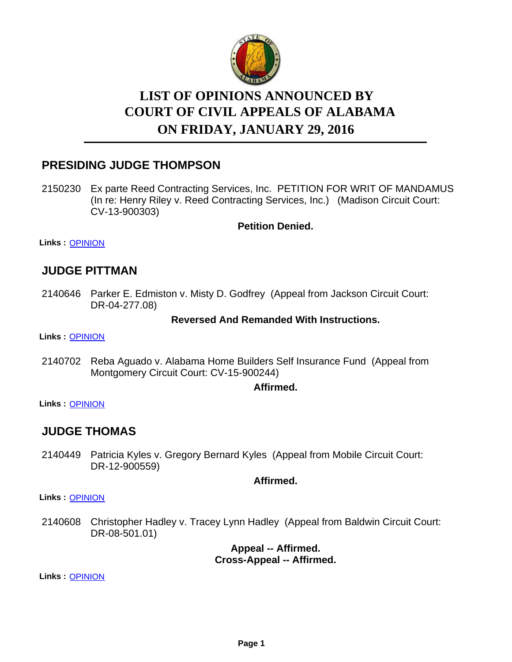

# **LIST OF OPINIONS ANNOUNCED BY ON FRIDAY, JANUARY 29, 2016 COURT OF CIVIL APPEALS OF ALABAMA**

# **PRESIDING JUDGE THOMPSON**

2150230 Ex parte Reed Contracting Services, Inc. PETITION FOR WRIT OF MANDAMUS (In re: Henry Riley v. Reed Contracting Services, Inc.) (Madison Circuit Court: CV-13-900303)

**Petition Denied.**

**Links :** [OPINION](https://acis.alabama.gov/displaydocs.cfm?no=713456&event=4JX0KDV8S)

## **JUDGE PITTMAN**

2140646 Parker E. Edmiston v. Misty D. Godfrey (Appeal from Jackson Circuit Court: DR-04-277.08)

### **Reversed And Remanded With Instructions.**

**Links :** [OPINION](https://acis.alabama.gov/displaydocs.cfm?no=713451&event=4JX0KDUIS)

2140702 Reba Aguado v. Alabama Home Builders Self Insurance Fund (Appeal from Montgomery Circuit Court: CV-15-900244)

#### **Affirmed.**

**Links :** [OPINION](https://acis.alabama.gov/displaydocs.cfm?no=713452&event=4JX0KDUOF)

# **JUDGE THOMAS**

2140449 Patricia Kyles v. Gregory Bernard Kyles (Appeal from Mobile Circuit Court: DR-12-900559)

### **Affirmed.**

**Links :** [OPINION](https://acis.alabama.gov/displaydocs.cfm?no=713448&event=4JX0KDTYT)

2140608 Christopher Hadley v. Tracey Lynn Hadley (Appeal from Baldwin Circuit Court: DR-08-501.01)

### **Appeal -- Affirmed. Cross-Appeal -- Affirmed.**

**Links :** [OPINION](https://acis.alabama.gov/displaydocs.cfm?no=713450&event=4JX0KDUDL)